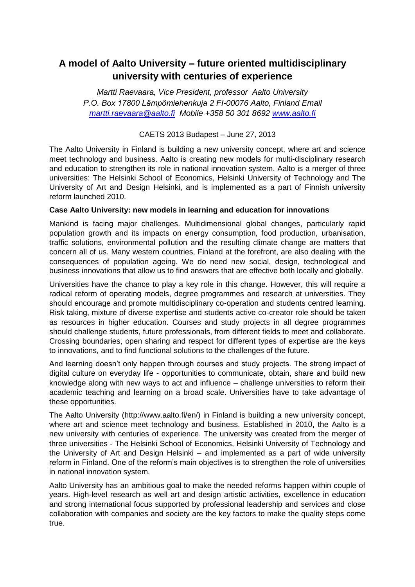# **A model of Aalto University – future oriented multidisciplinary university with centuries of experience**

*Martti Raevaara, Vice President, professor Aalto University P.O. Box 17800 Lämpömiehenkuja 2 FI-00076 Aalto, Finland Email [martti.raevaara@aalto.fi](../../Local%20Settings/AppData/Local/Microsoft/Windows/Temporary%20Internet%20Files/Content.IE5/AppData/Local/Temp/Temp1_mrnkakadmiknemzetkzikonferencijabudapest.zip/martti.raevaara@aalto.fi) Mobile +358 50 301 8692 [www.aalto.fi](http://www.aalto.fi/)*

# CAETS 2013 Budapest – June 27, 2013

The Aalto University in Finland is building a new university concept, where art and science meet technology and business. Aalto is creating new models for multi-disciplinary research and education to strengthen its role in national innovation system. Aalto is a merger of three universities: The Helsinki School of Economics, Helsinki University of Technology and The University of Art and Design Helsinki, and is implemented as a part of Finnish university reform launched 2010.

# **Case Aalto University: new models in learning and education for innovations**

Mankind is facing major challenges. Multidimensional global changes, particularly rapid population growth and its impacts on energy consumption, food production, urbanisation, traffic solutions, environmental pollution and the resulting climate change are matters that concern all of us. Many western countries, Finland at the forefront, are also dealing with the consequences of population ageing. We do need new social, design, technological and business innovations that allow us to find answers that are effective both locally and globally.

Universities have the chance to play a key role in this change. However, this will require a radical reform of operating models, degree programmes and research at universities. They should encourage and promote multidisciplinary co-operation and students centred learning. Risk taking, mixture of diverse expertise and students active co-creator role should be taken as resources in higher education. Courses and study projects in all degree programmes should challenge students, future professionals, from different fields to meet and collaborate. Crossing boundaries, open sharing and respect for different types of expertise are the keys to innovations, and to find functional solutions to the challenges of the future.

And learning doesn't only happen through courses and study projects. The strong impact of digital culture on everyday life - opportunities to communicate, obtain, share and build new knowledge along with new ways to act and influence – challenge universities to reform their academic teaching and learning on a broad scale. Universities have to take advantage of these opportunities.

The Aalto University [\(http://www.aalto.fi/en/\)](http://www.aalto.fi/en/) in Finland is building a new university concept, where art and science meet technology and business. Established in 2010, the Aalto is a new university with centuries of experience. The university was created from the merger of three universities - The Helsinki School of Economics, Helsinki University of Technology and the University of Art and Design Helsinki – and implemented as a part of wide university reform in Finland. One of the reform's main objectives is to strengthen the role of universities in national innovation system.

Aalto University has an ambitious goal to make the needed reforms happen within couple of years. High-level research as well art and design artistic activities, excellence in education and strong international focus supported by professional leadership and services and close collaboration with companies and society are the key factors to make the quality steps come true.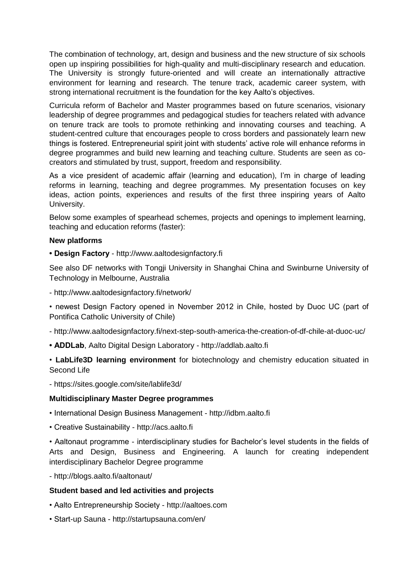The combination of technology, art, design and business and the new structure of six schools open up inspiring possibilities for high-quality and multi-disciplinary research and education. The University is strongly future-oriented and will create an internationally attractive environment for learning and research. The tenure track, academic career system, with strong international recruitment is the foundation for the key Aalto's objectives.

Curricula reform of Bachelor and Master programmes based on future scenarios, visionary leadership of degree programmes and pedagogical studies for teachers related with advance on tenure track are tools to promote rethinking and innovating courses and teaching. A student-centred culture that encourages people to cross borders and passionately learn new things is fostered. Entrepreneurial spirit joint with students' active role will enhance reforms in degree programmes and build new learning and teaching culture. Students are seen as cocreators and stimulated by trust, support, freedom and responsibility.

As a vice president of academic affair (learning and education), I'm in charge of leading reforms in learning, teaching and degree programmes. My presentation focuses on key ideas, action points, experiences and results of the first three inspiring years of Aalto University.

Below some examples of spearhead schemes, projects and openings to implement learning, teaching and education reforms (faster):

## **New platforms**

**• Design Factory** - http://www.aaltodesignfactory.fi

See also DF networks with Tongji University in Shanghai China and Swinburne University of Technology in Melbourne, Australi[a](http://www.aaltodesignfactory.fi/network/)

- <http://www.aaltodesignfactory.fi/network/>
- newest Design Factory opened in November 2012 in Chile, hosted by Duoc UC (part of Pontifica Catholic University of Chile)
- <http://www.aaltodesignfactory.fi/next-step-south-america-the-creation-of-df-chile-at-duoc-uc/>
- **ADDLab**, Aalto Digital Design Laboratory http://addlab.aalto.fi

• **LabLife3D learning environment** for biotechnology and chemistry education situated in Second Life

- <https://sites.google.com/site/lablife3d/>

### **Multidisciplinary Master Degree programmes**

- International Design Business Management http://idbm.aalto.fi
- Creative Sustainability http://acs.aalto.fi

• Aaltonaut programme - interdisciplinary studies for Bachelor's level students in the fields of Arts and Design, Business and Engineering. A launch for creating independent interdisciplinary Bachelor Degree programme

- http://blogs.aalto.fi/aaltonaut/

### **Student based and led activities and projects**

- Aalto Entrepreneurship Society [http://aaltoes.com](http://aaltoes.com/)
- Start-up Sauna http://startupsauna.com/en/